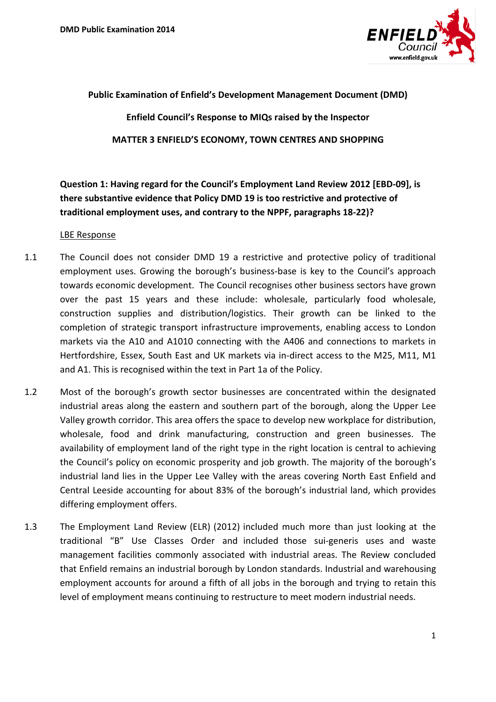

### **Public Examination of Enfield's Development Management Document (DMD)**

**Enfield Council's Response to MIQs raised by the Inspector MATTER 3 ENFIELD'S ECONOMY, TOWN CENTRES AND SHOPPING**

# **Question 1: Having regard for the Council's Employment Land Review 2012 [EBD-09], is there substantive evidence that Policy DMD 19 is too restrictive and protective of traditional employment uses, and contrary to the NPPF, paragraphs 18-22)?**

- 1.1 The Council does not consider DMD 19 a restrictive and protective policy of traditional employment uses. Growing the borough's business-base is key to the Council's approach towards economic development. The Council recognises other business sectors have grown over the past 15 years and these include: wholesale, particularly food wholesale, construction supplies and distribution/logistics. Their growth can be linked to the completion of strategic transport infrastructure improvements, enabling access to London markets via the A10 and A1010 connecting with the A406 and connections to markets in Hertfordshire, Essex, South East and UK markets via in-direct access to the M25, M11, M1 and A1. This is recognised within the text in Part 1a of the Policy.
- 1.2 Most of the borough's growth sector businesses are concentrated within the designated industrial areas along the eastern and southern part of the borough, along the Upper Lee Valley growth corridor. This area offers the space to develop new workplace for distribution, wholesale, food and drink manufacturing, construction and green businesses. The availability of employment land of the right type in the right location is central to achieving the Council's policy on economic prosperity and job growth. The majority of the borough's industrial land lies in the Upper Lee Valley with the areas covering North East Enfield and Central Leeside accounting for about 83% of the borough's industrial land, which provides differing employment offers.
- 1.3 The Employment Land Review (ELR) (2012) included much more than just looking at the traditional "B" Use Classes Order and included those sui-generis uses and waste management facilities commonly associated with industrial areas. The Review concluded that Enfield remains an industrial borough by London standards. Industrial and warehousing employment accounts for around a fifth of all jobs in the borough and trying to retain this level of employment means continuing to restructure to meet modern industrial needs.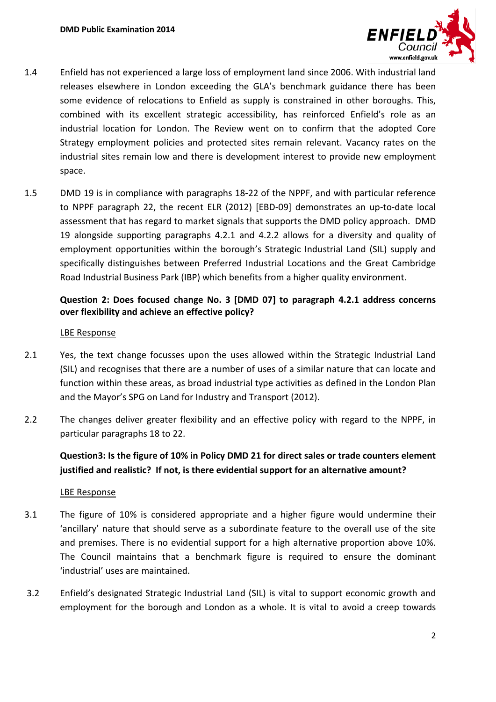

- 1.4 Enfield has not experienced a large loss of employment land since 2006. With industrial land releases elsewhere in London exceeding the GLA's benchmark guidance there has been some evidence of relocations to Enfield as supply is constrained in other boroughs. This, combined with its excellent strategic accessibility, has reinforced Enfield's role as an industrial location for London. The Review went on to confirm that the adopted Core Strategy employment policies and protected sites remain relevant. Vacancy rates on the industrial sites remain low and there is development interest to provide new employment space.
- 1.5 DMD 19 is in compliance with paragraphs 18-22 of the NPPF, and with particular reference to NPPF paragraph 22, the recent ELR (2012) [EBD-09] demonstrates an up-to-date local assessment that has regard to market signals that supports the DMD policy approach. DMD 19 alongside supporting paragraphs 4.2.1 and 4.2.2 allows for a diversity and quality of employment opportunities within the borough's Strategic Industrial Land (SIL) supply and specifically distinguishes between Preferred Industrial Locations and the Great Cambridge Road Industrial Business Park (IBP) which benefits from a higher quality environment.

### **Question 2: Does focused change No. 3 [DMD 07] to paragraph 4.2.1 address concerns over flexibility and achieve an effective policy?**

### LBE Response

- 2.1 Yes, the text change focusses upon the uses allowed within the Strategic Industrial Land (SIL) and recognises that there are a number of uses of a similar nature that can locate and function within these areas, as broad industrial type activities as defined in the London Plan and the Mayor's SPG on Land for Industry and Transport (2012).
- 2.2 The changes deliver greater flexibility and an effective policy with regard to the NPPF, in particular paragraphs 18 to 22.

### **Question3: Is the figure of 10% in Policy DMD 21 for direct sales or trade counters element justified and realistic? If not, is there evidential support for an alternative amount?**

- 3.1 The figure of 10% is considered appropriate and a higher figure would undermine their 'ancillary' nature that should serve as a subordinate feature to the overall use of the site and premises. There is no evidential support for a high alternative proportion above 10%. The Council maintains that a benchmark figure is required to ensure the dominant 'industrial' uses are maintained.
- 3.2 Enfield's designated Strategic Industrial Land (SIL) is vital to support economic growth and employment for the borough and London as a whole. It is vital to avoid a creep towards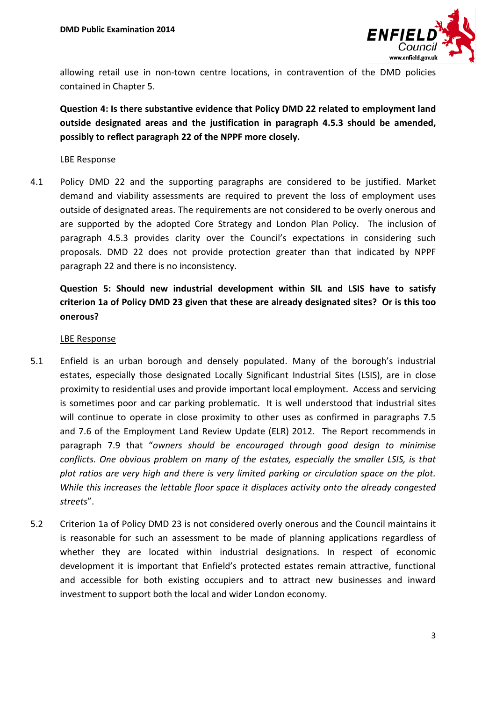

allowing retail use in non-town centre locations, in contravention of the DMD policies contained in Chapter 5.

**Question 4: Is there substantive evidence that Policy DMD 22 related to employment land outside designated areas and the justification in paragraph 4.5.3 should be amended, possibly to reflect paragraph 22 of the NPPF more closely.** 

### LBE Response

4.1 Policy DMD 22 and the supporting paragraphs are considered to be justified. Market demand and viability assessments are required to prevent the loss of employment uses outside of designated areas. The requirements are not considered to be overly onerous and are supported by the adopted Core Strategy and London Plan Policy. The inclusion of paragraph 4.5.3 provides clarity over the Council's expectations in considering such proposals. DMD 22 does not provide protection greater than that indicated by NPPF paragraph 22 and there is no inconsistency.

# **Question 5: Should new industrial development within SIL and LSIS have to satisfy criterion 1a of Policy DMD 23 given that these are already designated sites? Or is this too onerous?**

- 5.1 Enfield is an urban borough and densely populated. Many of the borough's industrial estates, especially those designated Locally Significant Industrial Sites (LSIS), are in close proximity to residential uses and provide important local employment. Access and servicing is sometimes poor and car parking problematic. It is well understood that industrial sites will continue to operate in close proximity to other uses as confirmed in paragraphs 7.5 and 7.6 of the Employment Land Review Update (ELR) 2012. The Report recommends in paragraph 7.9 that "*owners should be encouraged through good design to minimise conflicts. One obvious problem on many of the estates, especially the smaller LSIS, is that plot ratios are very high and there is very limited parking or circulation space on the plot. While this increases the lettable floor space it displaces activity onto the already congested streets*".
- 5.2 Criterion 1a of Policy DMD 23 is not considered overly onerous and the Council maintains it is reasonable for such an assessment to be made of planning applications regardless of whether they are located within industrial designations. In respect of economic development it is important that Enfield's protected estates remain attractive, functional and accessible for both existing occupiers and to attract new businesses and inward investment to support both the local and wider London economy.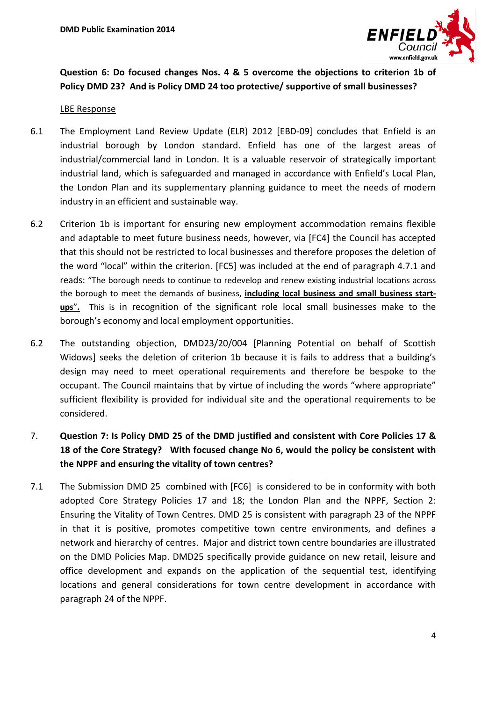

### **Question 6: Do focused changes Nos. 4 & 5 overcome the objections to criterion 1b of Policy DMD 23? And is Policy DMD 24 too protective/ supportive of small businesses?**

### LBE Response

- 6.1 The Employment Land Review Update (ELR) 2012 [EBD-09] concludes that Enfield is an industrial borough by London standard. Enfield has one of the largest areas of industrial/commercial land in London. It is a valuable reservoir of strategically important industrial land, which is safeguarded and managed in accordance with Enfield's Local Plan, the London Plan and its supplementary planning guidance to meet the needs of modern industry in an efficient and sustainable way.
- 6.2 Criterion 1b is important for ensuring new employment accommodation remains flexible and adaptable to meet future business needs, however, via [FC4] the Council has accepted that this should not be restricted to local businesses and therefore proposes the deletion of the word "local" within the criterion. [FC5] was included at the end of paragraph 4.7.1 and reads: "The borough needs to continue to redevelop and renew existing industrial locations across the borough to meet the demands of business, **including local business and small business startups**"**.** This is in recognition of the significant role local small businesses make to the borough's economy and local employment opportunities.
- 6.2 The outstanding objection, DMD23/20/004 [Planning Potential on behalf of Scottish Widows] seeks the deletion of criterion 1b because it is fails to address that a building's design may need to meet operational requirements and therefore be bespoke to the occupant. The Council maintains that by virtue of including the words "where appropriate" sufficient flexibility is provided for individual site and the operational requirements to be considered.

# 7. **Question 7: Is Policy DMD 25 of the DMD justified and consistent with Core Policies 17 & 18 of the Core Strategy? With focused change No 6, would the policy be consistent with the NPPF and ensuring the vitality of town centres?**

7.1 The Submission DMD 25 combined with [FC6] is considered to be in conformity with both adopted Core Strategy Policies 17 and 18; the London Plan and the NPPF, Section 2: Ensuring the Vitality of Town Centres. DMD 25 is consistent with paragraph 23 of the NPPF in that it is positive, promotes competitive town centre environments, and defines a network and hierarchy of centres. Major and district town centre boundaries are illustrated on the DMD Policies Map. DMD25 specifically provide guidance on new retail, leisure and office development and expands on the application of the sequential test, identifying locations and general considerations for town centre development in accordance with paragraph 24 of the NPPF.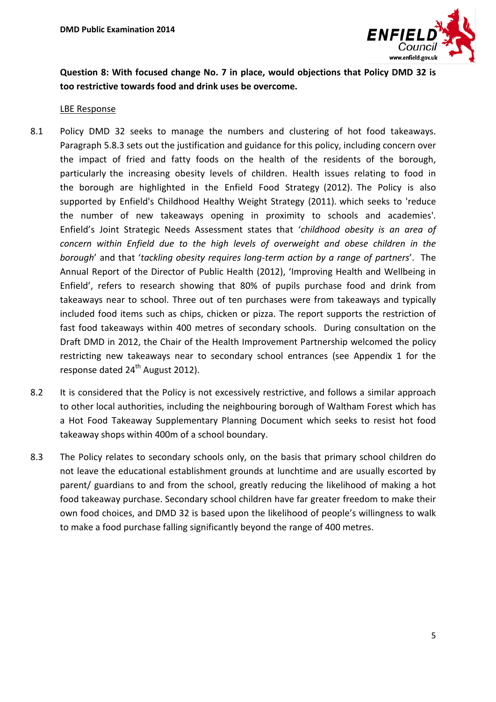![](_page_4_Picture_1.jpeg)

**Question 8: With focused change No. 7 in place, would objections that Policy DMD 32 is too restrictive towards food and drink uses be overcome.**

- 8.1 Policy DMD 32 seeks to manage the numbers and clustering of hot food takeaways. Paragraph 5.8.3 sets out the justification and guidance for this policy, including concern over the impact of fried and fatty foods on the health of the residents of the borough, particularly the increasing obesity levels of children. Health issues relating to food in the borough are highlighted in the Enfield Food Strategy (2012). The Policy is also supported by Enfield's Childhood Healthy Weight Strategy (2011). which seeks to 'reduce the number of new takeaways opening in proximity to schools and academies'. Enfield's Joint Strategic Needs Assessment states that '*childhood obesity is an area of concern within Enfield due to the high levels of overweight and obese children in the borough*' and that '*tackling obesity requires long-term action by a range of partners*'. The Annual Report of the Director of Public Health (2012), 'Improving Health and Wellbeing in Enfield', refers to research showing that 80% of pupils purchase food and drink from takeaways near to school. Three out of ten purchases were from takeaways and typically included food items such as chips, chicken or pizza. The report supports the restriction of fast food takeaways within 400 metres of secondary schools. During consultation on the Draft DMD in 2012, the Chair of the Health Improvement Partnership welcomed the policy restricting new takeaways near to secondary school entrances (see Appendix 1 for the response dated  $24<sup>th</sup>$  August 2012).
- 8.2 It is considered that the Policy is not excessively restrictive, and follows a similar approach to other local authorities, including the neighbouring borough of Waltham Forest which has a Hot Food Takeaway Supplementary Planning Document which seeks to resist hot food takeaway shops within 400m of a school boundary.
- 8.3 The Policy relates to secondary schools only, on the basis that primary school children do not leave the educational establishment grounds at lunchtime and are usually escorted by parent/ guardians to and from the school, greatly reducing the likelihood of making a hot food takeaway purchase. Secondary school children have far greater freedom to make their own food choices, and DMD 32 is based upon the likelihood of people's willingness to walk to make a food purchase falling significantly beyond the range of 400 metres.